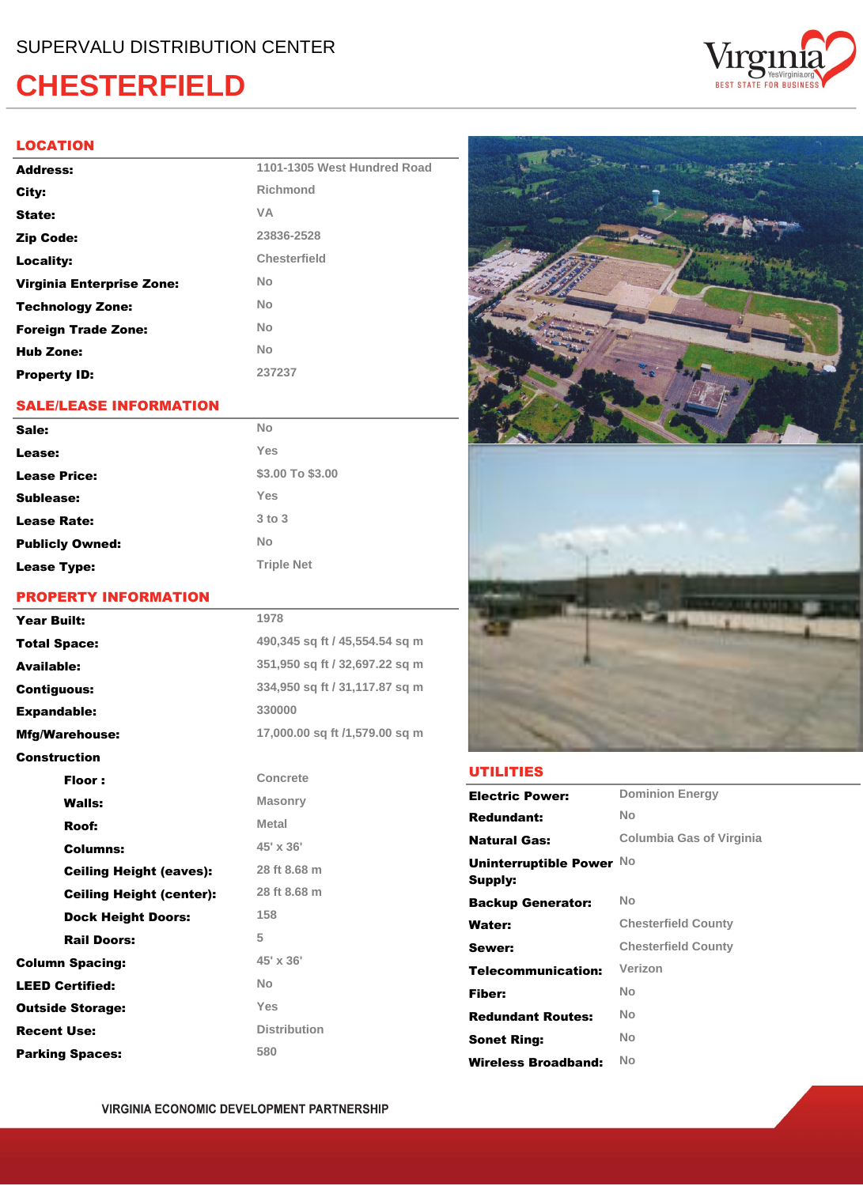## **CHESTERFIELD**

#### **LOCATION**

| Address:                   | 1101-1305 West Hundred Road |
|----------------------------|-----------------------------|
| City:                      | Richmond                    |
| State:                     | <b>VA</b>                   |
| Zip Code:                  | 23836-2528                  |
| Locality:                  | Chesterfield                |
| Virginia Enterprise Zone:  | <b>No</b>                   |
| <b>Technology Zone:</b>    | <b>No</b>                   |
| <b>Foreign Trade Zone:</b> | <b>No</b>                   |
| <b>Hub Zone:</b>           | <b>No</b>                   |
| <b>Property ID:</b>        | 237237                      |

### **SALE/LEASE INFORMATION**

| Sale:                  | <b>No</b>         |
|------------------------|-------------------|
| Lease:                 | Yes               |
| <b>Lease Price:</b>    | \$3.00 To \$3.00  |
| Sublease:              | Yes               |
| <b>Lease Rate:</b>     | $3$ to $3$        |
| <b>Publicly Owned:</b> | <b>No</b>         |
| <b>Lease Type:</b>     | <b>Triple Net</b> |

#### **PROPERTY INFORMATION**

| <b>Year Built:</b>              | 1978                           |
|---------------------------------|--------------------------------|
| <b>Total Space:</b>             | 490,345 sq ft / 45,554.54 sq m |
| <b>Available:</b>               | 351,950 sq ft / 32,697.22 sq m |
| <b>Contiguous:</b>              | 334,950 sq ft / 31,117.87 sq m |
| <b>Expandable:</b>              | 330000                         |
| <b>Mfg/Warehouse:</b>           | 17,000.00 sq ft /1,579.00 sq m |
| <b>Construction</b>             |                                |
| Floor:                          | Concrete                       |
| <b>Walls:</b>                   | <b>Masonry</b>                 |
| Roof:                           | <b>Metal</b>                   |
| Columns:                        | 45' x 36'                      |
| <b>Ceiling Height (eaves):</b>  | 28 ft 8.68 m                   |
| <b>Ceiling Height (center):</b> | 28 ft 8.68 m                   |
| <b>Dock Height Doors:</b>       | 158                            |
| <b>Rail Doors:</b>              | 5                              |
| <b>Column Spacing:</b>          | 45' x 36'                      |
| <b>LEED Certified:</b>          | <b>No</b>                      |
| <b>Outside Storage:</b>         | Yes                            |
| <b>Recent Use:</b>              | <b>Distribution</b>            |
| <b>Parking Spaces:</b>          | 580                            |



#### **UTILITIES**

| <b>Electric Power:</b>              | <b>Dominion Energy</b>     |
|-------------------------------------|----------------------------|
| <b>Redundant:</b>                   | No                         |
| <b>Natural Gas:</b>                 | Columbia Gas of Virginia   |
| Uninterruptible Power No<br>Supply: |                            |
| <b>Backup Generator:</b>            | No                         |
| Water:                              | <b>Chesterfield County</b> |
| Sewer:                              | <b>Chesterfield County</b> |
| Telecommunication:                  | Verizon                    |
| Fiber:                              | No                         |
| <b>Redundant Routes:</b>            | No                         |
| <b>Sonet Ring:</b>                  | No                         |
| Wireless Broadband:                 | No                         |